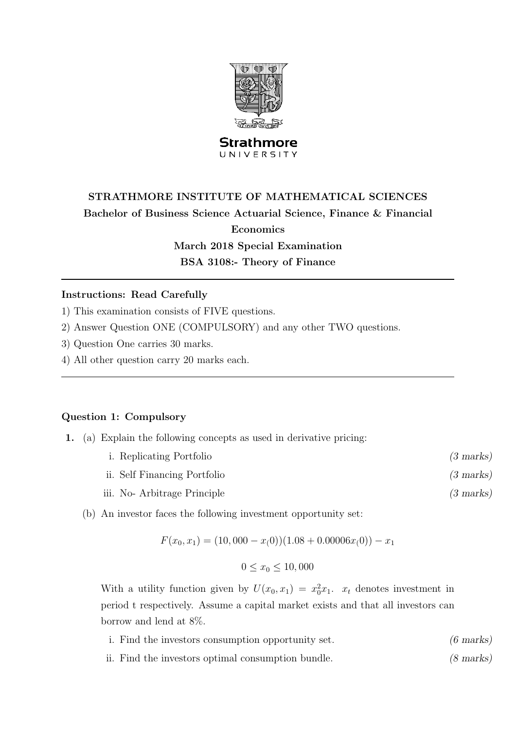

#### **Strathmore** UNIVERSITY

# STRATHMORE INSTITUTE OF MATHEMATICAL SCIENCES Bachelor of Business Science Actuarial Science, Finance & Financial Economics March 2018 Special Examination BSA 3108:- Theory of Finance

#### Instructions: Read Carefully

1) This examination consists of FIVE questions.

- 2) Answer Question ONE (COMPULSORY) and any other TWO questions.
- 3) Question One carries 30 marks.
- 4) All other question carry 20 marks each.

#### Question 1: Compulsory

- 1. (a) Explain the following concepts as used in derivative pricing:
	- i. Replicating Portfolio (3 marks)
	- ii. Self Financing Portfolio (3 marks)
	- iii. No- Arbitrage Principle (3 marks)
	- (b) An investor faces the following investment opportunity set:

$$
F(x_0, x_1) = (10,000 - x_00))(1.08 + 0.00006x_0)) - x_1
$$

$$
0 \le x_0 \le 10,000
$$

With a utility function given by  $U(x_0, x_1) = x_0^2 x_1$ .  $x_t$  denotes investment in period t respectively. Assume a capital market exists and that all investors can borrow and lend at 8%.

- i. Find the investors consumption opportunity set. (6 marks)
- ii. Find the investors optimal consumption bundle. (8 marks)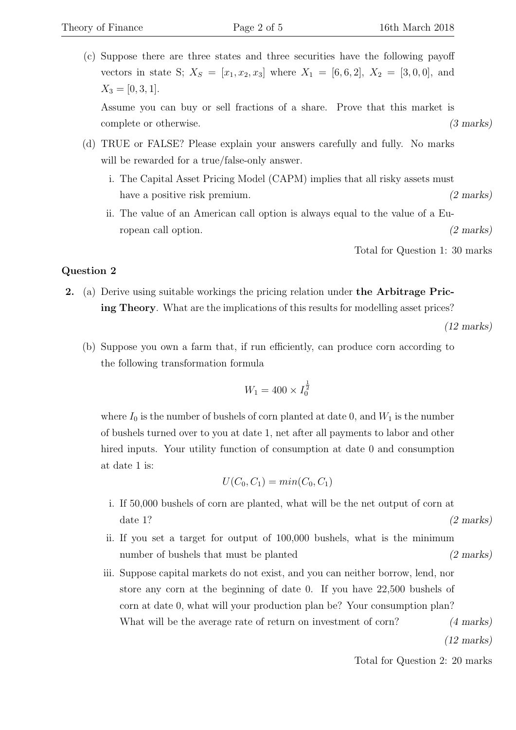(c) Suppose there are three states and three securities have the following payoff vectors in state S;  $X_S = [x_1, x_2, x_3]$  where  $X_1 = [6, 6, 2], X_2 = [3, 0, 0],$  and  $X_3 = [0, 3, 1].$ 

Assume you can buy or sell fractions of a share. Prove that this market is complete or otherwise. (3 marks)

- (d) TRUE or FALSE? Please explain your answers carefully and fully. No marks will be rewarded for a true/false-only answer.
	- i. The Capital Asset Pricing Model (CAPM) implies that all risky assets must have a positive risk premium. (2 marks)
	- ii. The value of an American call option is always equal to the value of a European call option. (2 marks)

Total for Question 1: 30 marks

### Question 2

2. (a) Derive using suitable workings the pricing relation under the Arbitrage Pricing Theory. What are the implications of this results for modelling asset prices?

(12 marks)

(b) Suppose you own a farm that, if run efficiently, can produce corn according to the following transformation formula

$$
W_1 = 400 \times I_0^{\frac{1}{2}}
$$

where  $I_0$  is the number of bushels of corn planted at date 0, and  $W_1$  is the number of bushels turned over to you at date 1, net after all payments to labor and other hired inputs. Your utility function of consumption at date 0 and consumption at date 1 is:

$$
U(C_0, C_1) = min(C_0, C_1)
$$

- i. If 50,000 bushels of corn are planted, what will be the net output of corn at date 1? (2 marks)
- ii. If you set a target for output of 100,000 bushels, what is the minimum number of bushels that must be planted (2 marks)
- iii. Suppose capital markets do not exist, and you can neither borrow, lend, nor store any corn at the beginning of date 0. If you have 22,500 bushels of corn at date 0, what will your production plan be? Your consumption plan? What will be the average rate of return on investment of corn? (4 marks)

(12 marks)

Total for Question 2: 20 marks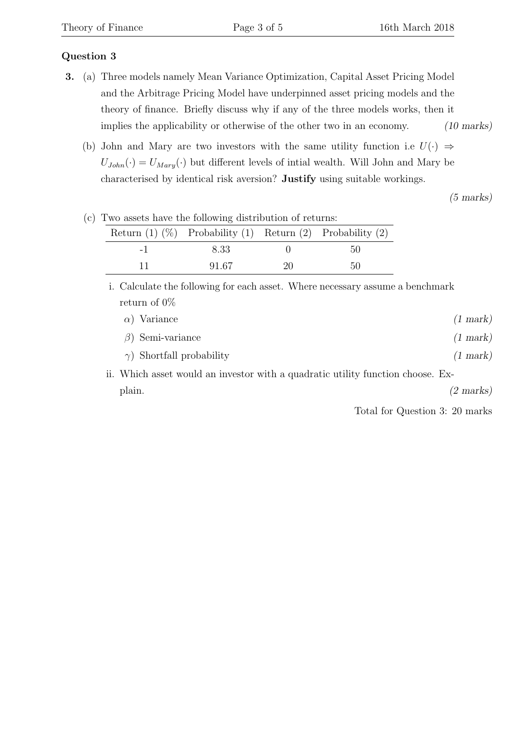# Question 3

- 3. (a) Three models namely Mean Variance Optimization, Capital Asset Pricing Model and the Arbitrage Pricing Model have underpinned asset pricing models and the theory of finance. Briefly discuss why if any of the three models works, then it implies the applicability or otherwise of the other two in an economy. (10 marks)
	- (b) John and Mary are two investors with the same utility function i.e  $U(\cdot) \Rightarrow$  $U_{John}(\cdot) = U_{Mary}(\cdot)$  but different levels of intial wealth. Will John and Mary be characterised by identical risk aversion? Justify using suitable workings.

(5 marks)

| I we assets have the following distribution of returns. |                                                                      |    |    |  |
|---------------------------------------------------------|----------------------------------------------------------------------|----|----|--|
|                                                         | Return $(1)$ $(\%)$ Probability $(1)$ Return $(2)$ Probability $(2)$ |    |    |  |
| $-1$                                                    | 8.33                                                                 |    | 50 |  |
|                                                         | 91.67                                                                | 20 | 50 |  |

(c) Two assets have the following distribution of returns:

i. Calculate the following for each asset. Where necessary assume a benchmark return of 0%

| $\alpha$ ) Variance                                                             | $(1 \text{ mark})$ |
|---------------------------------------------------------------------------------|--------------------|
| $\beta$ ) Semi-variance                                                         | $(1 \text{ mark})$ |
| $\gamma$ ) Shortfall probability                                                | $(1 \text{ mark})$ |
| ii. Which asset would an investor with a quadratic utility function choose. Ex- |                    |

plain. (2 marks)

Total for Question 3: 20 marks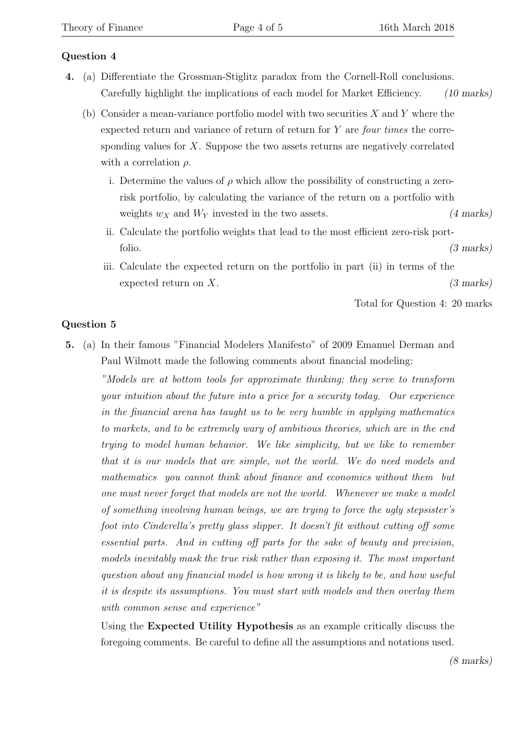## Question 4

- 4. (a) Differentiate the Grossman-Stiglitz paradox from the Cornell-Roll conclusions. Carefully highlight the implications of each model for Market Efficiency. (10 marks)
	- (b) Consider a mean-variance portfolio model with two securities  $X$  and  $Y$  where the expected return and variance of return of return for Y are four times the corresponding values for  $X$ . Suppose the two assets returns are negatively correlated with a correlation  $\rho$ .
		- i. Determine the values of  $\rho$  which allow the possibility of constructing a zerorisk portfolio, by calculating the variance of the return on a portfolio with weights  $w_X$  and  $W_Y$  invested in the two assets. (4 marks)
		- ii. Calculate the portfolio weights that lead to the most efficient zero-risk portfolio. (3 marks)
		- iii. Calculate the expected return on the portfolio in part (ii) in terms of the expected return on X. (3 marks)

Total for Question 4: 20 marks

## Question 5

5. (a) In their famous "Financial Modelers Manifesto" of 2009 Emanuel Derman and Paul Wilmott made the following comments about financial modeling:

"Models are at bottom tools for approximate thinking; they serve to transform your intuition about the future into a price for a security today. Our experience in the financial arena has taught us to be very humble in applying mathematics to markets, and to be extremely wary of ambitious theories, which are in the end trying to model human behavior. We like simplicity, but we like to remember that it is our models that are simple, not the world. We do need models and mathematics you cannot think about finance and economics without them but one must never forget that models are not the world. Whenever we make a model of something involving human beings, we are trying to force the ugly stepsister's foot into Cinderella's pretty glass slipper. It doesn't fit without cutting off some essential parts. And in cutting off parts for the sake of beauty and precision, models inevitably mask the true risk rather than exposing it. The most important question about any financial model is how wrong it is likely to be, and how useful it is despite its assumptions. You must start with models and then overlay them with common sense and experience"

Using the Expected Utility Hypothesis as an example critically discuss the foregoing comments. Be careful to define all the assumptions and notations used.

(8 marks)